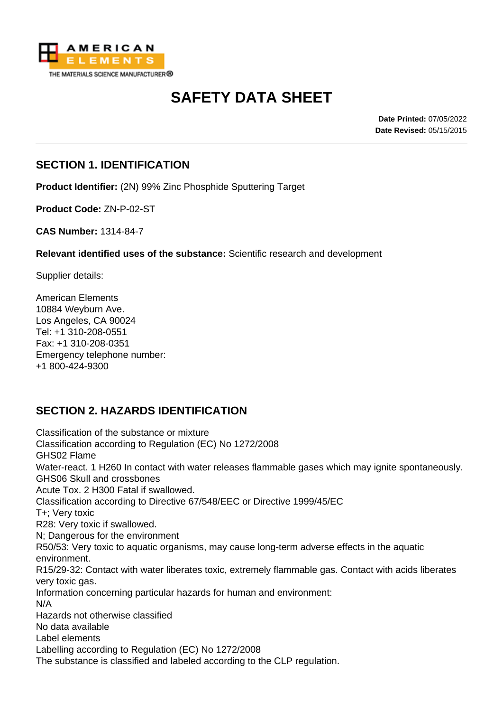

# **SAFETY DATA SHEET**

**Date Printed:** 07/05/2022 **Date Revised:** 05/15/2015

#### **SECTION 1. IDENTIFICATION**

**Product Identifier:** (2N) 99% Zinc Phosphide Sputtering Target

**Product Code:** ZN-P-02-ST

**CAS Number:** 1314-84-7

**Relevant identified uses of the substance:** Scientific research and development

Supplier details:

American Elements 10884 Weyburn Ave. Los Angeles, CA 90024 Tel: +1 310-208-0551 Fax: +1 310-208-0351 Emergency telephone number: +1 800-424-9300

# **SECTION 2. HAZARDS IDENTIFICATION**

Classification of the substance or mixture Classification according to Regulation (EC) No 1272/2008 GHS02 Flame Water-react. 1 H260 In contact with water releases flammable gases which may ignite spontaneously. GHS06 Skull and crossbones Acute Tox. 2 H300 Fatal if swallowed. Classification according to Directive 67/548/EEC or Directive 1999/45/EC T+; Very toxic R28: Very toxic if swallowed. N; Dangerous for the environment R50/53: Very toxic to aquatic organisms, may cause long-term adverse effects in the aquatic environment. R15/29-32: Contact with water liberates toxic, extremely flammable gas. Contact with acids liberates very toxic gas. Information concerning particular hazards for human and environment: N/A Hazards not otherwise classified No data available Label elements Labelling according to Regulation (EC) No 1272/2008 The substance is classified and labeled according to the CLP regulation.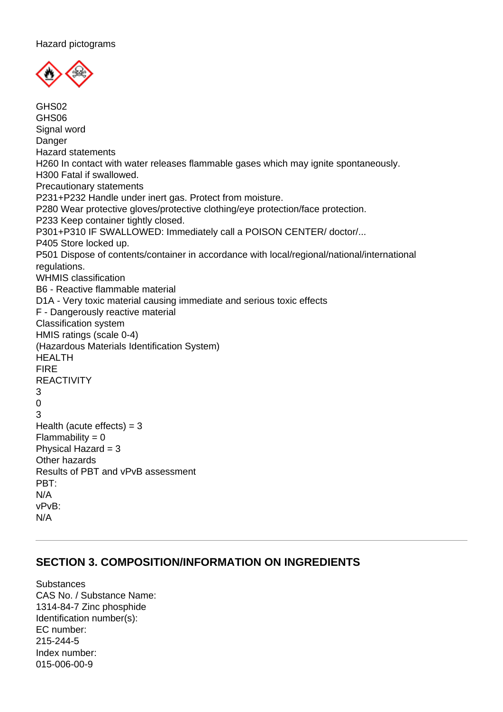

GHS02 GHS06 Signal word Danger Hazard statements H260 In contact with water releases flammable gases which may ignite spontaneously. H300 Fatal if swallowed. Precautionary statements P231+P232 Handle under inert gas. Protect from moisture. P280 Wear protective gloves/protective clothing/eye protection/face protection. P233 Keep container tightly closed. P301+P310 IF SWALLOWED: Immediately call a POISON CENTER/ doctor/... P405 Store locked up. P501 Dispose of contents/container in accordance with local/regional/national/international regulations. WHMIS classification B6 - Reactive flammable material D1A - Very toxic material causing immediate and serious toxic effects F - Dangerously reactive material Classification system HMIS ratings (scale 0-4) (Hazardous Materials Identification System) HEALTH FIRE **REACTIVITY** 3  $\Omega$ 3 Health (acute effects)  $=$  3  $Flammability = 0$ Physical Hazard  $= 3$ Other hazards Results of PBT and vPvB assessment PBT: N/A vPvB: N/A

#### **SECTION 3. COMPOSITION/INFORMATION ON INGREDIENTS**

**Substances** CAS No. / Substance Name: 1314-84-7 Zinc phosphide Identification number(s): EC number: 215-244-5 Index number: 015-006-00-9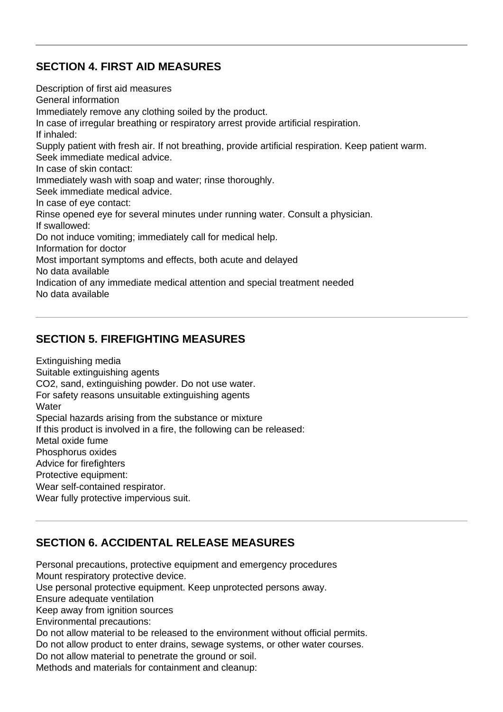### **SECTION 4. FIRST AID MEASURES**

Description of first aid measures General information Immediately remove any clothing soiled by the product. In case of irregular breathing or respiratory arrest provide artificial respiration. If inhaled: Supply patient with fresh air. If not breathing, provide artificial respiration. Keep patient warm. Seek immediate medical advice. In case of skin contact: Immediately wash with soap and water; rinse thoroughly. Seek immediate medical advice. In case of eye contact: Rinse opened eye for several minutes under running water. Consult a physician. If swallowed: Do not induce vomiting; immediately call for medical help. Information for doctor Most important symptoms and effects, both acute and delayed No data available Indication of any immediate medical attention and special treatment needed No data available

# **SECTION 5. FIREFIGHTING MEASURES**

Extinguishing media Suitable extinguishing agents CO2, sand, extinguishing powder. Do not use water. For safety reasons unsuitable extinguishing agents **Water** Special hazards arising from the substance or mixture If this product is involved in a fire, the following can be released: Metal oxide fume Phosphorus oxides Advice for firefighters Protective equipment: Wear self-contained respirator. Wear fully protective impervious suit.

# **SECTION 6. ACCIDENTAL RELEASE MEASURES**

Personal precautions, protective equipment and emergency procedures Mount respiratory protective device. Use personal protective equipment. Keep unprotected persons away. Ensure adequate ventilation Keep away from ignition sources Environmental precautions: Do not allow material to be released to the environment without official permits. Do not allow product to enter drains, sewage systems, or other water courses. Do not allow material to penetrate the ground or soil. Methods and materials for containment and cleanup: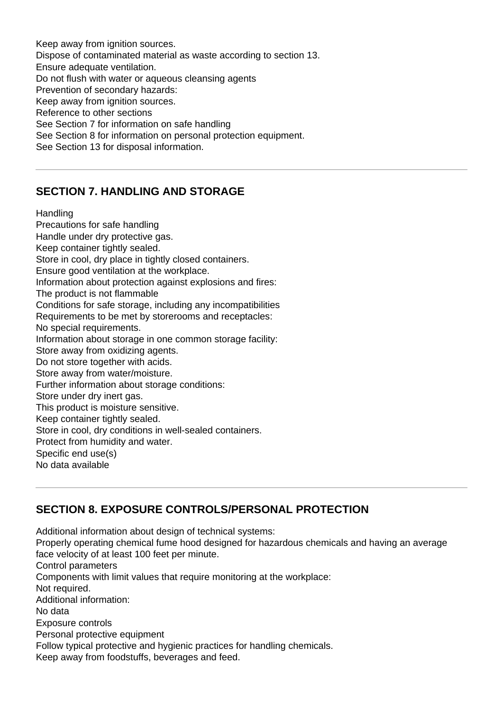Keep away from ignition sources. Dispose of contaminated material as waste according to section 13. Ensure adequate ventilation. Do not flush with water or aqueous cleansing agents Prevention of secondary hazards: Keep away from ignition sources. Reference to other sections See Section 7 for information on safe handling See Section 8 for information on personal protection equipment. See Section 13 for disposal information.

#### **SECTION 7. HANDLING AND STORAGE**

#### **Handling**

Precautions for safe handling Handle under dry protective gas. Keep container tightly sealed. Store in cool, dry place in tightly closed containers. Ensure good ventilation at the workplace. Information about protection against explosions and fires: The product is not flammable Conditions for safe storage, including any incompatibilities Requirements to be met by storerooms and receptacles: No special requirements. Information about storage in one common storage facility: Store away from oxidizing agents. Do not store together with acids. Store away from water/moisture. Further information about storage conditions: Store under dry inert gas. This product is moisture sensitive. Keep container tightly sealed. Store in cool, dry conditions in well-sealed containers. Protect from humidity and water. Specific end use(s) No data available

# **SECTION 8. EXPOSURE CONTROLS/PERSONAL PROTECTION**

Additional information about design of technical systems: Properly operating chemical fume hood designed for hazardous chemicals and having an average face velocity of at least 100 feet per minute. Control parameters Components with limit values that require monitoring at the workplace: Not required. Additional information: No data Exposure controls Personal protective equipment Follow typical protective and hygienic practices for handling chemicals. Keep away from foodstuffs, beverages and feed.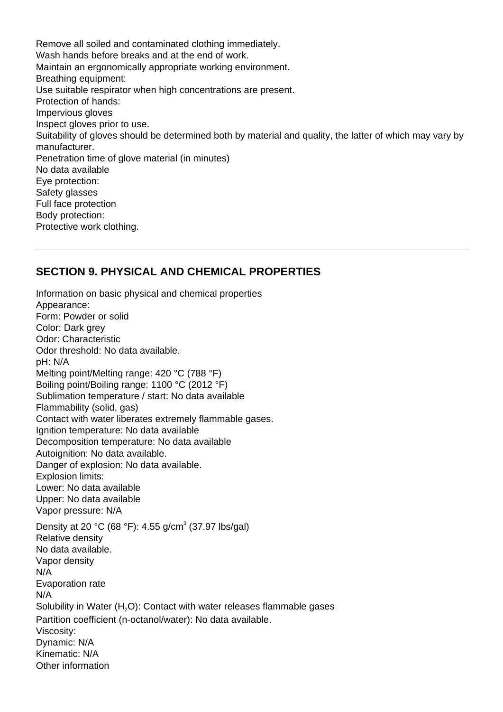Remove all soiled and contaminated clothing immediately. Wash hands before breaks and at the end of work. Maintain an ergonomically appropriate working environment. Breathing equipment: Use suitable respirator when high concentrations are present. Protection of hands: Impervious gloves Inspect gloves prior to use. Suitability of gloves should be determined both by material and quality, the latter of which may vary by manufacturer. Penetration time of glove material (in minutes) No data available Eye protection: Safety glasses Full face protection Body protection: Protective work clothing.

#### **SECTION 9. PHYSICAL AND CHEMICAL PROPERTIES**

Information on basic physical and chemical properties Appearance: Form: Powder or solid Color: Dark grey Odor: Characteristic Odor threshold: No data available. pH: N/A Melting point/Melting range: 420 °C (788 °F) Boiling point/Boiling range: 1100 °C (2012 °F) Sublimation temperature / start: No data available Flammability (solid, gas) Contact with water liberates extremely flammable gases. Ignition temperature: No data available Decomposition temperature: No data available Autoignition: No data available. Danger of explosion: No data available. Explosion limits: Lower: No data available Upper: No data available Vapor pressure: N/A Density at 20 °C (68 °F): 4.55 g/cm<sup>3</sup> (37.97 lbs/gal) Relative density No data available. Vapor density N/A Evaporation rate N/A Solubility in Water (H<sub>2</sub>O): Contact with water releases flammable gases Partition coefficient (n-octanol/water): No data available. Viscosity: Dynamic: N/A Kinematic: N/A Other information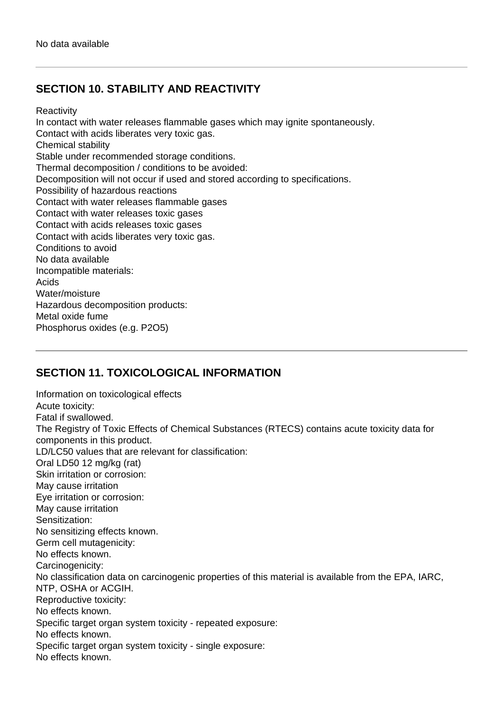# **SECTION 10. STABILITY AND REACTIVITY**

**Reactivity** 

In contact with water releases flammable gases which may ignite spontaneously. Contact with acids liberates very toxic gas. Chemical stability Stable under recommended storage conditions. Thermal decomposition / conditions to be avoided: Decomposition will not occur if used and stored according to specifications. Possibility of hazardous reactions Contact with water releases flammable gases Contact with water releases toxic gases Contact with acids releases toxic gases Contact with acids liberates very toxic gas. Conditions to avoid No data available Incompatible materials: Acids Water/moisture Hazardous decomposition products: Metal oxide fume Phosphorus oxides (e.g. P2O5)

# **SECTION 11. TOXICOLOGICAL INFORMATION**

Information on toxicological effects Acute toxicity: Fatal if swallowed. The Registry of Toxic Effects of Chemical Substances (RTECS) contains acute toxicity data for components in this product. LD/LC50 values that are relevant for classification: Oral LD50 12 mg/kg (rat) Skin irritation or corrosion: May cause irritation Eye irritation or corrosion: May cause irritation Sensitization: No sensitizing effects known. Germ cell mutagenicity: No effects known. Carcinogenicity: No classification data on carcinogenic properties of this material is available from the EPA, IARC, NTP, OSHA or ACGIH. Reproductive toxicity: No effects known. Specific target organ system toxicity - repeated exposure: No effects known. Specific target organ system toxicity - single exposure: No effects known.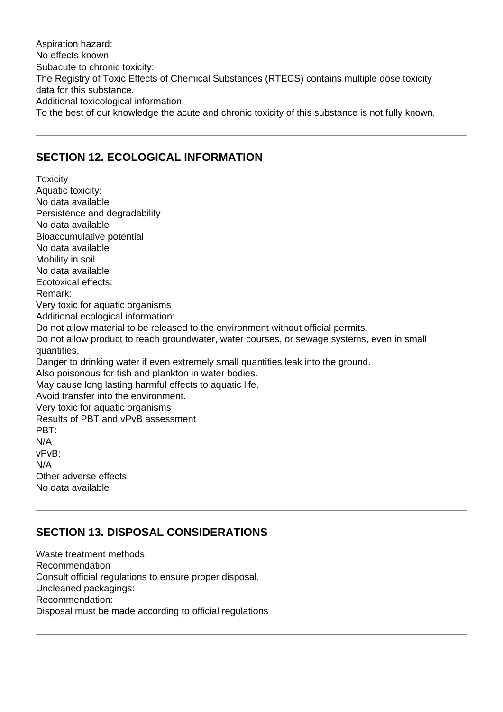Aspiration hazard: No effects known. Subacute to chronic toxicity: The Registry of Toxic Effects of Chemical Substances (RTECS) contains multiple dose toxicity data for this substance. Additional toxicological information: To the best of our knowledge the acute and chronic toxicity of this substance is not fully known.

#### **SECTION 12. ECOLOGICAL INFORMATION**

**Toxicity** Aquatic toxicity: No data available Persistence and degradability No data available Bioaccumulative potential No data available Mobility in soil No data available Ecotoxical effects: Remark: Very toxic for aquatic organisms Additional ecological information: Do not allow material to be released to the environment without official permits. Do not allow product to reach groundwater, water courses, or sewage systems, even in small quantities. Danger to drinking water if even extremely small quantities leak into the ground. Also poisonous for fish and plankton in water bodies. May cause long lasting harmful effects to aquatic life. Avoid transfer into the environment. Very toxic for aquatic organisms Results of PBT and vPvB assessment PBT: N/A vPvB: N/A Other adverse effects No data available

# **SECTION 13. DISPOSAL CONSIDERATIONS**

Waste treatment methods Recommendation Consult official regulations to ensure proper disposal. Uncleaned packagings: Recommendation: Disposal must be made according to official regulations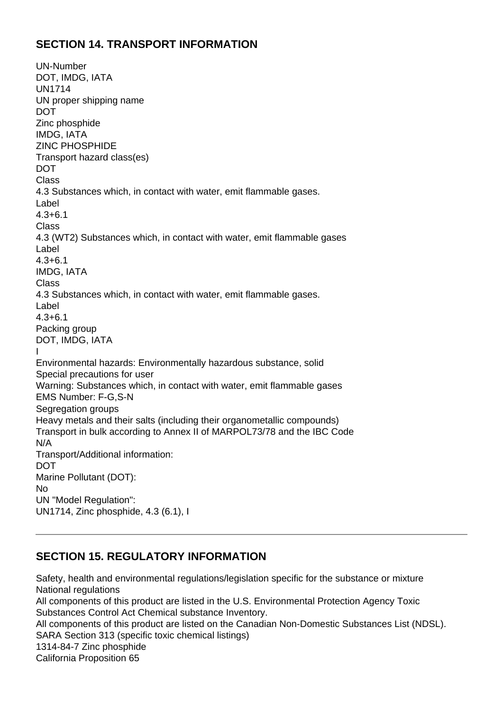# **SECTION 14. TRANSPORT INFORMATION**

UN-Number DOT, IMDG, IATA UN1714 UN proper shipping name DOT Zinc phosphide IMDG, IATA ZINC PHOSPHIDE Transport hazard class(es) DOT **Class** 4.3 Substances which, in contact with water, emit flammable gases. Label 4.3+6.1 **Class** 4.3 (WT2) Substances which, in contact with water, emit flammable gases Label 4.3+6.1 IMDG, IATA Class 4.3 Substances which, in contact with water, emit flammable gases. Label 4.3+6.1 Packing group DOT, IMDG, IATA I Environmental hazards: Environmentally hazardous substance, solid Special precautions for user Warning: Substances which, in contact with water, emit flammable gases EMS Number: F-G,S-N Segregation groups Heavy metals and their salts (including their organometallic compounds) Transport in bulk according to Annex II of MARPOL73/78 and the IBC Code N/A Transport/Additional information: DOT Marine Pollutant (DOT): No UN "Model Regulation": UN1714, Zinc phosphide, 4.3 (6.1), I

#### **SECTION 15. REGULATORY INFORMATION**

Safety, health and environmental regulations/legislation specific for the substance or mixture National regulations All components of this product are listed in the U.S. Environmental Protection Agency Toxic Substances Control Act Chemical substance Inventory. All components of this product are listed on the Canadian Non-Domestic Substances List (NDSL). SARA Section 313 (specific toxic chemical listings) 1314-84-7 Zinc phosphide California Proposition 65